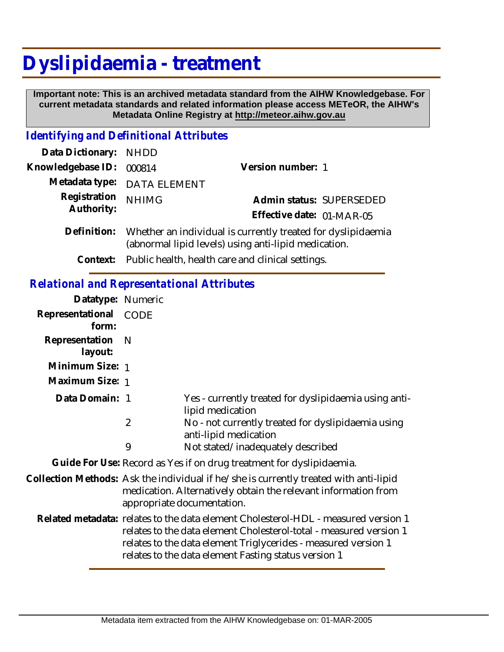## **Dyslipidaemia - treatment**

 **Important note: This is an archived metadata standard from the AIHW Knowledgebase. For current metadata standards and related information please access METeOR, the AIHW's Metadata Online Registry at http://meteor.aihw.gov.au**

## *Identifying and Definitional Attributes*

9

| Data Dictionary:           | <b>NHDD</b>                                                                                                          |                           |
|----------------------------|----------------------------------------------------------------------------------------------------------------------|---------------------------|
| Knowledgebase ID:          | 000814                                                                                                               | Version number: 1         |
| Metadata type:             | <b>DATA ELEMENT</b>                                                                                                  |                           |
| Registration<br>Authority: | <b>NHIMG</b>                                                                                                         | Admin status: SUPERSEDED  |
|                            |                                                                                                                      | Effective date: 01-MAR-05 |
| Definition:                | Whether an individual is currently treated for dyslipidaemia<br>(abnormal lipid levels) using anti-lipid medication. |                           |
| Context:                   | Public health, health care and clinical settings.                                                                    |                           |
|                            |                                                                                                                      |                           |
|                            | <b>Relational and Representational Attributes</b>                                                                    |                           |
| Datatype: Numeric          |                                                                                                                      |                           |
| Representational<br>form:  | <b>CODE</b>                                                                                                          |                           |
| Representation<br>layout:  | -N                                                                                                                   |                           |
| Minimum Size: 1            |                                                                                                                      |                           |
| Maximum Size: 1            |                                                                                                                      |                           |

| Data Domain: 1 | Yes - currently treated for dyslipidaemia using anti-<br>lipid medication |
|----------------|---------------------------------------------------------------------------|
|                | No - not currently treated for dyslipidaemia using                        |
|                | anti-lipid medication                                                     |

Not stated/inadequately described

**Guide For Use:** Record as Yes if on drug treatment for dyslipidaemia.

- Collection Methods: Ask the individual if he/she is currently treated with anti-lipid medication. Alternatively obtain the relevant information from appropriate documentation.
	- Related metadata: relates to the data element Cholesterol-HDL measured version 1 relates to the data element Cholesterol-total - measured version 1 relates to the data element Triglycerides - measured version 1 relates to the data element Fasting status version 1